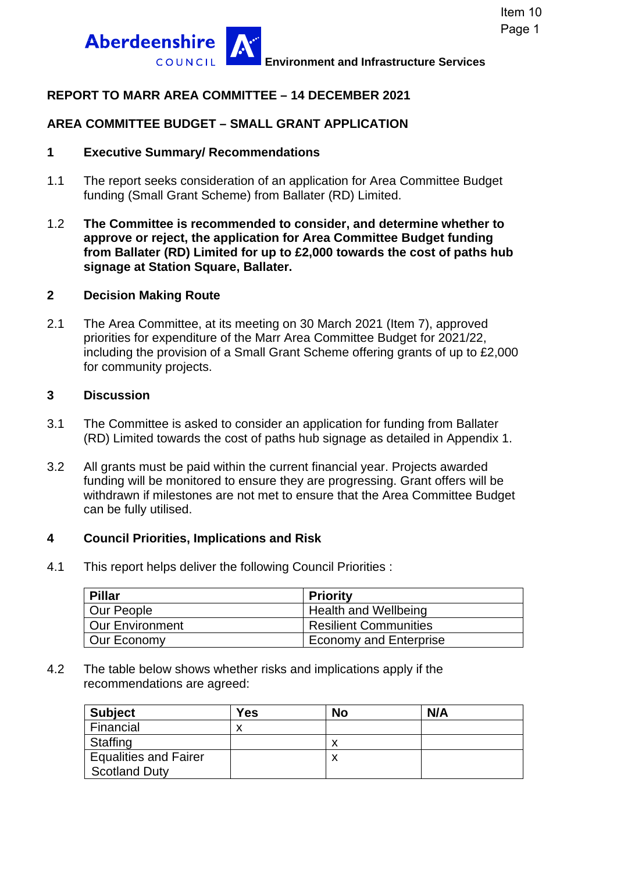

### **REPORT TO MARR AREA COMMITTEE – 14 DECEMBER 2021**

### **AREA COMMITTEE BUDGET – SMALL GRANT APPLICATION**

### **1 Executive Summary/ Recommendations**

- 1.1 The report seeks consideration of an application for Area Committee Budget funding (Small Grant Scheme) from Ballater (RD) Limited.
- 1.2 **The Committee is recommended to consider, and determine whether to approve or reject, the application for Area Committee Budget funding from Ballater (RD) Limited for up to £2,000 towards the cost of paths hub signage at Station Square, Ballater.**

### **2 Decision Making Route**

2.1 The Area Committee, at its meeting on 30 March 2021 (Item 7), approved priorities for expenditure of the Marr Area Committee Budget for 2021/22, including the provision of a Small Grant Scheme offering grants of up to £2,000 for community projects.

#### **3 Discussion**

- 3.1 The Committee is asked to consider an application for funding from Ballater (RD) Limited towards the cost of paths hub signage as detailed in Appendix 1.
- 3.2 All grants must be paid within the current financial year. Projects awarded funding will be monitored to ensure they are progressing. Grant offers will be withdrawn if milestones are not met to ensure that the Area Committee Budget can be fully utilised.

### **4 Council Priorities, Implications and Risk**

4.1 This report helps deliver the following Council Priorities :

| Pillar            | <b>Priority</b>               |
|-------------------|-------------------------------|
| Our People        | Health and Wellbeing          |
| l Our Environment | <b>Resilient Communities</b>  |
| Our Economy       | <b>Economy and Enterprise</b> |

4.2 The table below shows whether risks and implications apply if the recommendations are agreed:

| <b>Subject</b>               | Yes | <b>No</b> | N/A |
|------------------------------|-----|-----------|-----|
| Financial                    |     |           |     |
| Staffing                     |     |           |     |
| <b>Equalities and Fairer</b> |     | ⋏         |     |
| <b>Scotland Duty</b>         |     |           |     |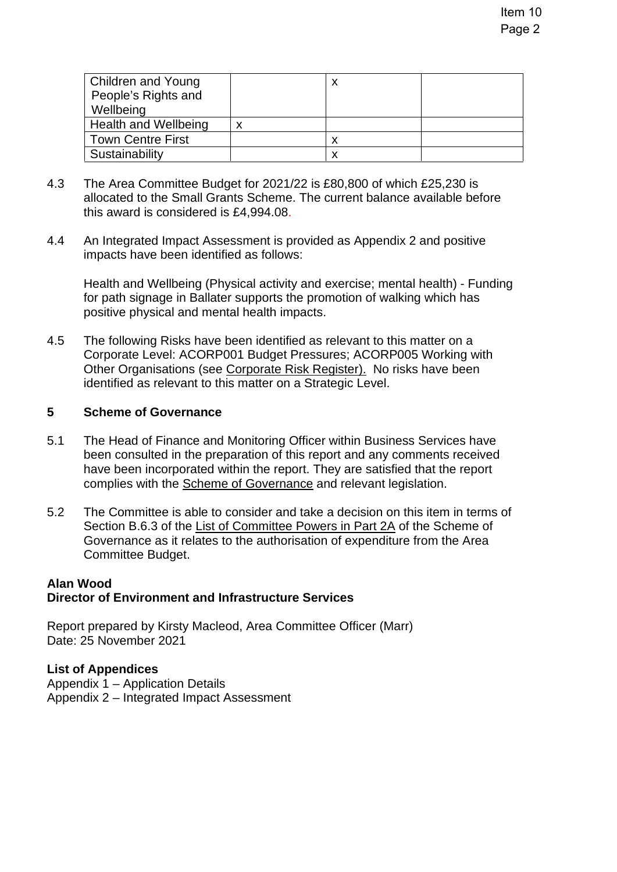| Children and Young<br>People's Rights and<br>Wellbeing | х |  |
|--------------------------------------------------------|---|--|
| Health and Wellbeing                                   |   |  |
| <b>Town Centre First</b>                               | х |  |
| Sustainability                                         | х |  |

- 4.3 The Area Committee Budget for 2021/22 is £80,800 of which £25,230 is allocated to the Small Grants Scheme. The current balance available before this award is considered is £4,994.08.
- 4.4 An Integrated Impact Assessment is provided as Appendix 2 and positive impacts have been identified as follows:

Health and Wellbeing (Physical activity and exercise; mental health) - Funding for path signage in Ballater supports the promotion of walking which has positive physical and mental health impacts.

4.5 The following Risks have been identified as relevant to this matter on a Corporate Level: ACORP001 Budget Pressures; ACORP005 Working with Other Organisations (see [Corporate Risk Register\).](http://www.aberdeenshire.gov.uk/council-and-democracy/about-us/plans-and-reports/) No risks have been identified as relevant to this matter on a Strategic Level.

### **5 Scheme of Governance**

- 5.1 The Head of Finance and Monitoring Officer within Business Services have been consulted in the preparation of this report and any comments received have been incorporated within the report. They are satisfied that the report complies with the [Scheme of Governance](https://www.aberdeenshire.gov.uk/council-and-democracy/scheme-of-governance/) and relevant legislation.
- 5.2 The Committee is able to consider and take a decision on this item in terms of Section B.6.3 of the [List of Committee Powers in Part 2A](http://publications.aberdeenshire.gov.uk/dataset/c8044f6f-e327-499f-bbc7-94ae9d699559/resource/8d829bb9-95e7-4c83-bc0b-63b76bcba159/download/list-of-committee-powers.pdf) of the Scheme of Governance as it relates to the authorisation of expenditure from the Area Committee Budget.

### **Alan Wood Director of Environment and Infrastructure Services**

Report prepared by Kirsty Macleod, Area Committee Officer (Marr) Date: 25 November 2021

### **List of Appendices**

Appendix 1 – Application Details Appendix 2 – Integrated Impact Assessment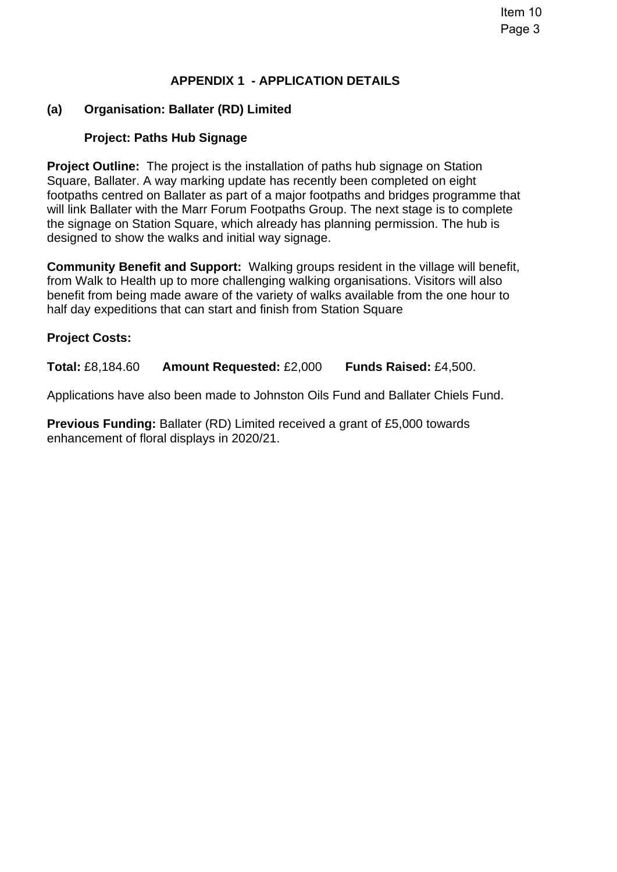### **APPENDIX 1 - APPLICATION DETAILS**

### **(a) Organisation: Ballater (RD) Limited**

### **Project: Paths Hub Signage**

**Project Outline:** The project is the installation of paths hub signage on Station Square, Ballater. A way marking update has recently been completed on eight footpaths centred on Ballater as part of a major footpaths and bridges programme that will link Ballater with the Marr Forum Footpaths Group. The next stage is to complete the signage on Station Square, which already has planning permission. The hub is designed to show the walks and initial way signage.

**Community Benefit and Support:** Walking groups resident in the village will benefit, from Walk to Health up to more challenging walking organisations. Visitors will also benefit from being made aware of the variety of walks available from the one hour to half day expeditions that can start and finish from Station Square

### **Project Costs:**

**Total:** £8,184.60 **Amount Requested:** £2,000 **Funds Raised:** £4,500.

Applications have also been made to Johnston Oils Fund and Ballater Chiels Fund.

**Previous Funding:** Ballater (RD) Limited received a grant of £5,000 towards enhancement of floral displays in 2020/21.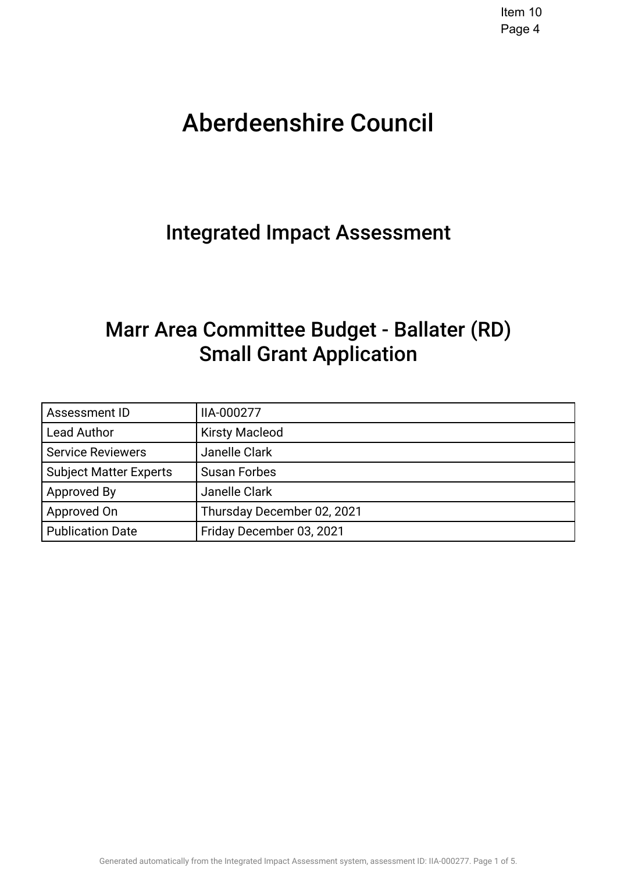# Aberdeenshire Council .

# Integrated Impact Assessment.

# Marr Area Committee Budget - Ballater (RD) Small Grant Application.

| Assessment ID                 | IIA-000277                 |
|-------------------------------|----------------------------|
| <b>Lead Author</b>            | <b>Kirsty Macleod</b>      |
| <b>Service Reviewers</b>      | Janelle Clark              |
| <b>Subject Matter Experts</b> | <b>Susan Forbes</b>        |
| Approved By                   | Janelle Clark              |
| Approved On                   | Thursday December 02, 2021 |
| <b>Publication Date</b>       | Friday December 03, 2021   |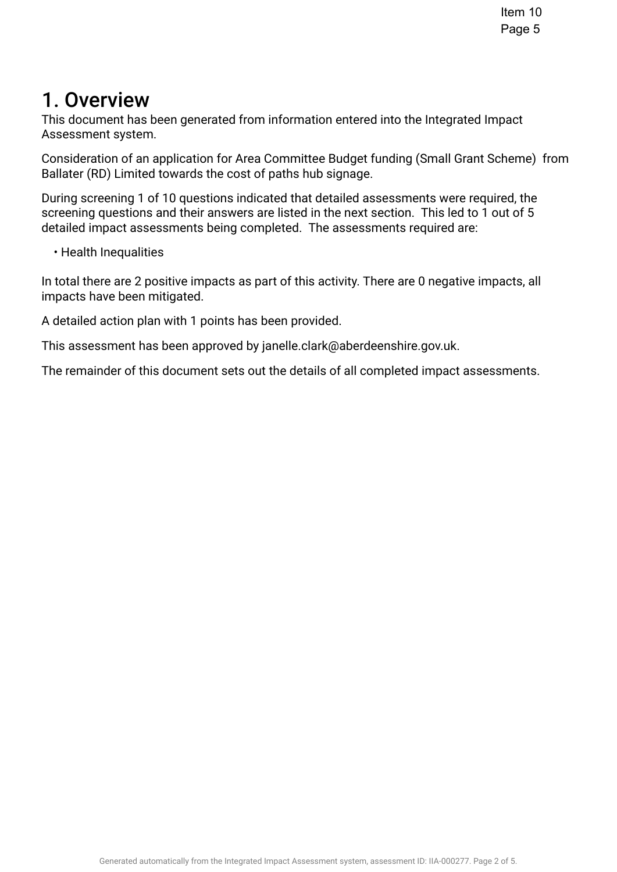## 1. Overview.

This document has been generated from information entered into the Integrated Impact Assessment system.

Consideration of an application for Area Committee Budget funding (Small Grant Scheme) from Ballater (RD) Limited towards the cost of paths hub signage.

During screening 1 of 10 questions indicated that detailed assessments were required, the screening questions and their answers are listed in the next section. This led to 1 out of 5 detailed impact assessments being completed. The assessments required are:

• Health Inequalities

In total there are 2 positive impacts as part of this activity. There are 0 negative impacts, all impacts have been mitigated.

A detailed action plan with 1 points has been provided.

This assessment has been approved by janelle.clark@aberdeenshire.gov.uk.

The remainder of this document sets out the details of all completed impact assessments.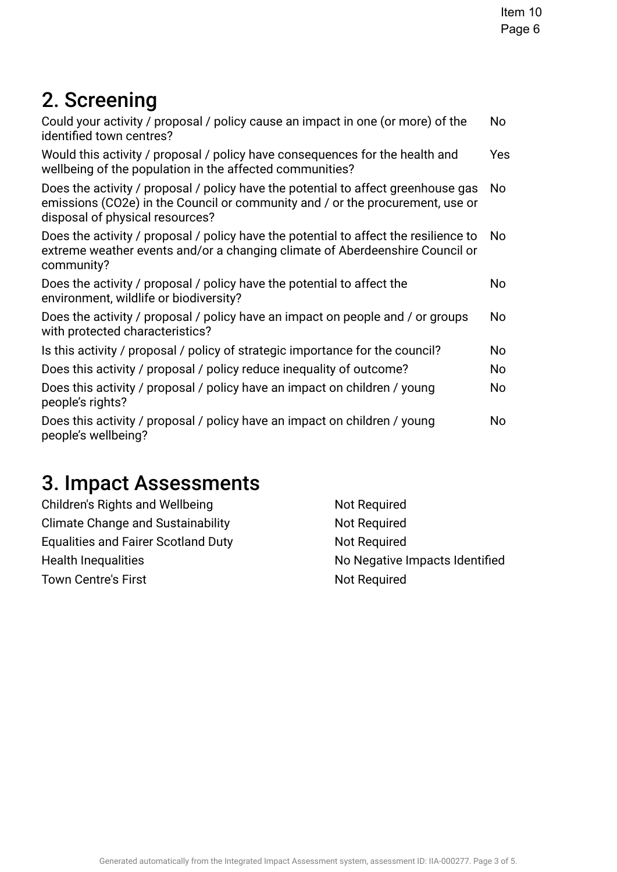# 2. Screening

| Could your activity / proposal / policy cause an impact in one (or more) of the<br>identified town centres?                                                                                           | No  |
|-------------------------------------------------------------------------------------------------------------------------------------------------------------------------------------------------------|-----|
| Would this activity / proposal / policy have consequences for the health and<br>wellbeing of the population in the affected communities?                                                              | Yes |
| Does the activity / proposal / policy have the potential to affect greenhouse gas<br>emissions (CO2e) in the Council or community and / or the procurement, use or<br>disposal of physical resources? | No  |
| Does the activity / proposal / policy have the potential to affect the resilience to<br>extreme weather events and/or a changing climate of Aberdeenshire Council or<br>community?                    | No  |
| Does the activity / proposal / policy have the potential to affect the<br>environment, wildlife or biodiversity?                                                                                      | No  |
| Does the activity / proposal / policy have an impact on people and / or groups<br>with protected characteristics?                                                                                     | No  |
| Is this activity / proposal / policy of strategic importance for the council?                                                                                                                         | No  |
| Does this activity / proposal / policy reduce inequality of outcome?                                                                                                                                  | No  |
| Does this activity / proposal / policy have an impact on children / young<br>people's rights?                                                                                                         | No  |
| Does this activity / proposal / policy have an impact on children / young<br>people's wellbeing?                                                                                                      | No  |
|                                                                                                                                                                                                       |     |

# 3. Impact Assessments

| Children's Rights and Wellbeing            | Not Required                   |
|--------------------------------------------|--------------------------------|
| <b>Climate Change and Sustainability</b>   | Not Required                   |
| <b>Equalities and Fairer Scotland Duty</b> | Not Required                   |
| <b>Health Inequalities</b>                 | No Negative Impacts Identified |
| <b>Town Centre's First</b>                 | <b>Not Required</b>            |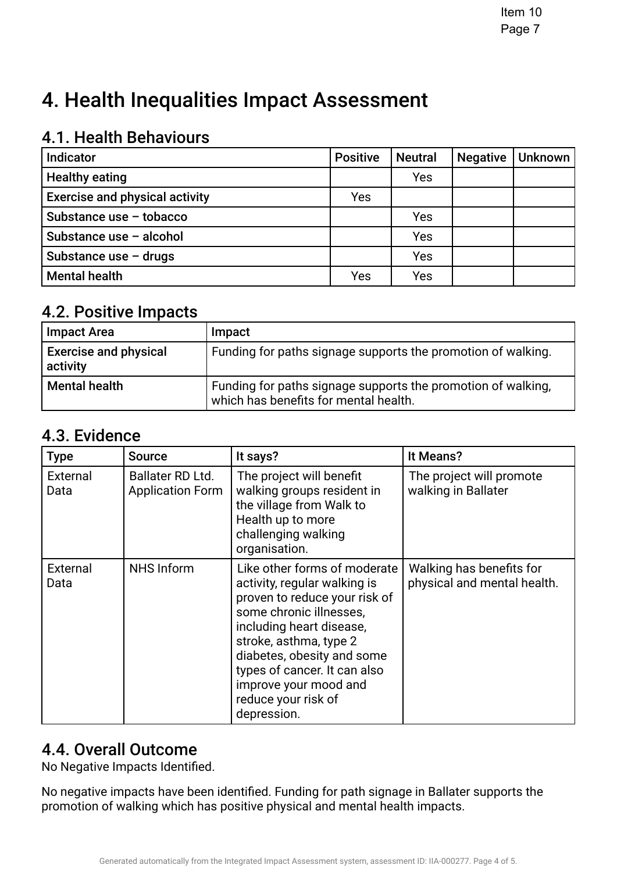# 4. Health Inequalities Impact Assessment

## 4.1. Health Behaviours

| <b>Indicator</b>                      | <b>Positive</b> | <b>Neutral</b> | <b>Negative</b> | <b>Unknown</b> |
|---------------------------------------|-----------------|----------------|-----------------|----------------|
| <b>Healthy eating</b>                 |                 | Yes            |                 |                |
| <b>Exercise and physical activity</b> | Yes             |                |                 |                |
| Substance use - tobacco               |                 | Yes            |                 |                |
| Substance use - alcohol               |                 | Yes            |                 |                |
| Substance use $-$ drugs               |                 | Yes            |                 |                |
| <b>Mental health</b>                  | Yes             | Yes            |                 |                |

## **4.2. Positive Impacts.**

| <b>Impact Area</b>                       | Impact                                                                                                |
|------------------------------------------|-------------------------------------------------------------------------------------------------------|
| <b>Exercise and physical</b><br>activity | Funding for paths signage supports the promotion of walking.                                          |
| Mental health                            | Funding for paths signage supports the promotion of walking,<br>which has benefits for mental health. |

### 4.3. Evidence

| <b>Type</b>      | <b>Source</b>                               | It says?                                                                                                                                                                                                                                                                                                    | It Means?                                               |
|------------------|---------------------------------------------|-------------------------------------------------------------------------------------------------------------------------------------------------------------------------------------------------------------------------------------------------------------------------------------------------------------|---------------------------------------------------------|
| External<br>Data | Ballater RD Ltd.<br><b>Application Form</b> | The project will benefit<br>walking groups resident in<br>the village from Walk to<br>Health up to more<br>challenging walking<br>organisation.                                                                                                                                                             | The project will promote<br>walking in Ballater         |
| External<br>Data | <b>NHS Inform</b>                           | Like other forms of moderate<br>activity, regular walking is<br>proven to reduce your risk of<br>some chronic illnesses,<br>including heart disease,<br>stroke, asthma, type 2<br>diabetes, obesity and some<br>types of cancer. It can also<br>improve your mood and<br>reduce your risk of<br>depression. | Walking has benefits for<br>physical and mental health. |

## 4.4. Overall Outcome

No Negative Impacts Identifed.

No negative impacts have been identifed. Funding for path signage in Ballater supports the promotion of walking which has positive physical and mental health impacts.